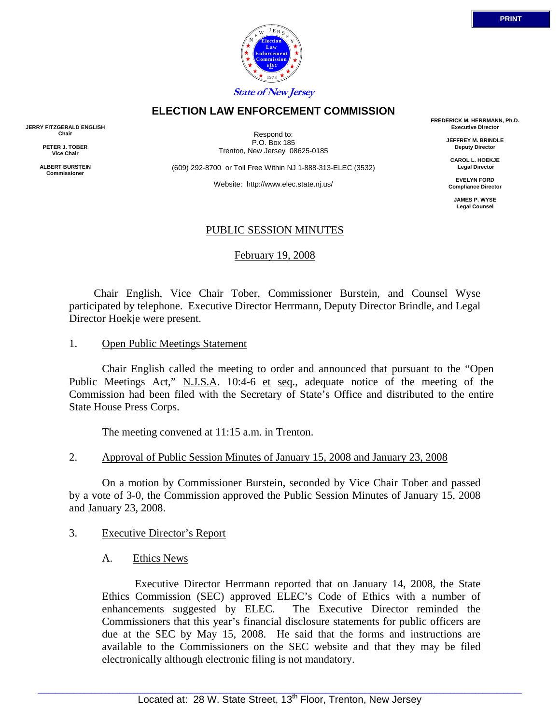

## **ELECTION LAW ENFORCEMENT COMMISSION**

**JERRY FITZGERALD ENGLISH Chair** 

> **PETER J. TOBER Vice Chair**

**ALBERT BURSTEIN Commissioner** 

Respond to: P.O. Box 185 Trenton, New Jersey 08625-0185

(609) 292-8700 or Toll Free Within NJ 1-888-313-ELEC (3532)

Website: http://www.elec.state.nj.us/

**FREDERICK M. HERRMANN, Ph.D. Executive Director** 

> **JEFFREY M. BRINDLE Deputy Director**

**CAROL L. HOEKJE Legal Director** 

**EVELYN FORD Compliance Director** 

> **JAMES P. WYSE Legal Counsel**

# PUBLIC SESSION MINUTES

February 19, 2008

 Chair English, Vice Chair Tober, Commissioner Burstein, and Counsel Wyse participated by telephone. Executive Director Herrmann, Deputy Director Brindle, and Legal Director Hoekje were present.

#### 1. Open Public Meetings Statement

 Chair English called the meeting to order and announced that pursuant to the "Open Public Meetings Act," N.J.S.A. 10:4-6 et seq., adequate notice of the meeting of the Commission had been filed with the Secretary of State's Office and distributed to the entire State House Press Corps.

The meeting convened at 11:15 a.m. in Trenton.

## 2. Approval of Public Session Minutes of January 15, 2008 and January 23, 2008

 On a motion by Commissioner Burstein, seconded by Vice Chair Tober and passed by a vote of 3-0, the Commission approved the Public Session Minutes of January 15, 2008 and January 23, 2008.

## 3. Executive Director's Report

A. Ethics News

 Executive Director Herrmann reported that on January 14, 2008, the State Ethics Commission (SEC) approved ELEC's Code of Ethics with a number of enhancements suggested by ELEC. The Executive Director reminded the Commissioners that this year's financial disclosure statements for public officers are due at the SEC by May 15, 2008. He said that the forms and instructions are available to the Commissioners on the SEC website and that they may be filed electronically although electronic filing is not mandatory.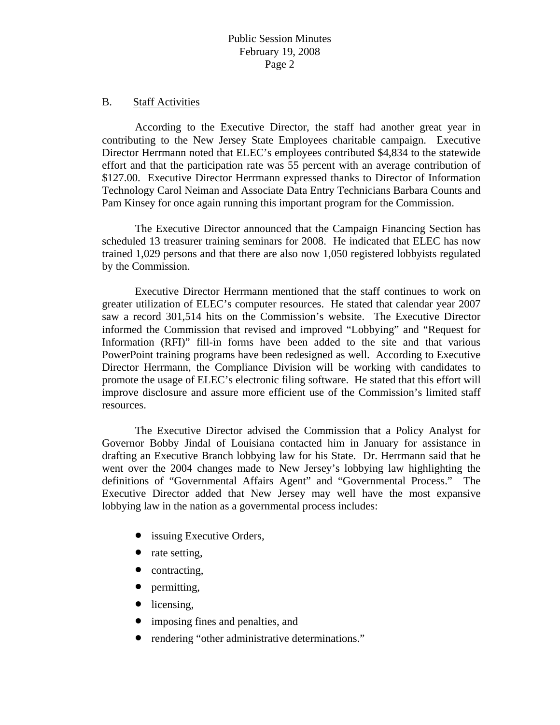#### B. Staff Activities

 According to the Executive Director, the staff had another great year in contributing to the New Jersey State Employees charitable campaign. Executive Director Herrmann noted that ELEC's employees contributed \$4,834 to the statewide effort and that the participation rate was 55 percent with an average contribution of \$127.00. Executive Director Herrmann expressed thanks to Director of Information Technology Carol Neiman and Associate Data Entry Technicians Barbara Counts and Pam Kinsey for once again running this important program for the Commission.

 The Executive Director announced that the Campaign Financing Section has scheduled 13 treasurer training seminars for 2008. He indicated that ELEC has now trained 1,029 persons and that there are also now 1,050 registered lobbyists regulated by the Commission.

 Executive Director Herrmann mentioned that the staff continues to work on greater utilization of ELEC's computer resources. He stated that calendar year 2007 saw a record 301,514 hits on the Commission's website. The Executive Director informed the Commission that revised and improved "Lobbying" and "Request for Information (RFI)" fill-in forms have been added to the site and that various PowerPoint training programs have been redesigned as well. According to Executive Director Herrmann, the Compliance Division will be working with candidates to promote the usage of ELEC's electronic filing software. He stated that this effort will improve disclosure and assure more efficient use of the Commission's limited staff resources.

 The Executive Director advised the Commission that a Policy Analyst for Governor Bobby Jindal of Louisiana contacted him in January for assistance in drafting an Executive Branch lobbying law for his State. Dr. Herrmann said that he went over the 2004 changes made to New Jersey's lobbying law highlighting the definitions of "Governmental Affairs Agent" and "Governmental Process." The Executive Director added that New Jersey may well have the most expansive lobbying law in the nation as a governmental process includes:

- issuing Executive Orders,
- rate setting,
- contracting,
- permitting,
- licensing,
- imposing fines and penalties, and
- rendering "other administrative determinations."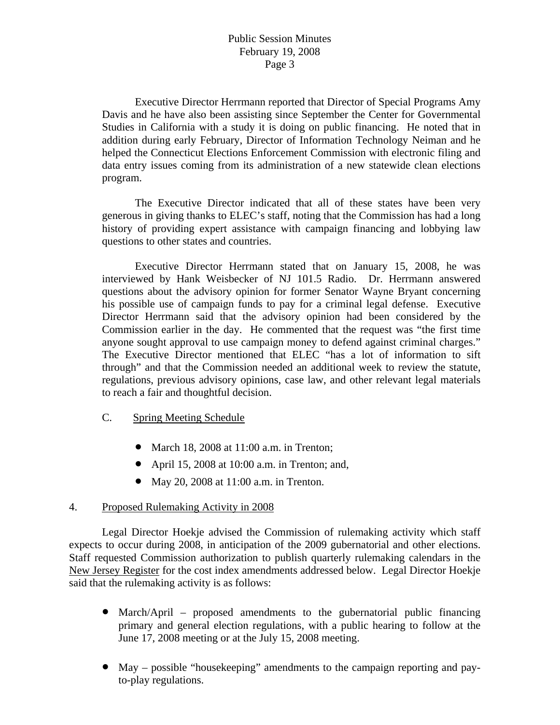## Public Session Minutes February 19, 2008 Page 3

 Executive Director Herrmann reported that Director of Special Programs Amy Davis and he have also been assisting since September the Center for Governmental Studies in California with a study it is doing on public financing. He noted that in addition during early February, Director of Information Technology Neiman and he helped the Connecticut Elections Enforcement Commission with electronic filing and data entry issues coming from its administration of a new statewide clean elections program.

 The Executive Director indicated that all of these states have been very generous in giving thanks to ELEC's staff, noting that the Commission has had a long history of providing expert assistance with campaign financing and lobbying law questions to other states and countries.

 Executive Director Herrmann stated that on January 15, 2008, he was interviewed by Hank Weisbecker of NJ 101.5 Radio. Dr. Herrmann answered questions about the advisory opinion for former Senator Wayne Bryant concerning his possible use of campaign funds to pay for a criminal legal defense. Executive Director Herrmann said that the advisory opinion had been considered by the Commission earlier in the day. He commented that the request was "the first time anyone sought approval to use campaign money to defend against criminal charges." The Executive Director mentioned that ELEC "has a lot of information to sift through" and that the Commission needed an additional week to review the statute, regulations, previous advisory opinions, case law, and other relevant legal materials to reach a fair and thoughtful decision.

## C. Spring Meeting Schedule

- March 18, 2008 at 11:00 a.m. in Trenton;
- April 15, 2008 at 10:00 a.m. in Trenton; and,
- May 20, 2008 at 11:00 a.m. in Trenton.

## 4. Proposed Rulemaking Activity in 2008

 Legal Director Hoekje advised the Commission of rulemaking activity which staff expects to occur during 2008, in anticipation of the 2009 gubernatorial and other elections. Staff requested Commission authorization to publish quarterly rulemaking calendars in the New Jersey Register for the cost index amendments addressed below. Legal Director Hoekje said that the rulemaking activity is as follows:

- March/April proposed amendments to the gubernatorial public financing primary and general election regulations, with a public hearing to follow at the June 17, 2008 meeting or at the July 15, 2008 meeting.
- May possible "housekeeping" amendments to the campaign reporting and payto-play regulations.